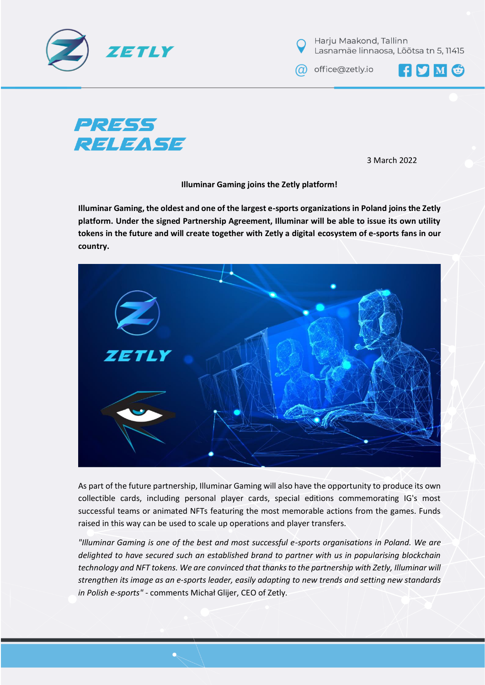



a office@zetly.io

F S M &



3 March 2022

**Illuminar Gaming joins the Zetly platform!**

**Illuminar Gaming, the oldest and one of the largest e-sports organizations in Poland joins the Zetly platform. Under the signed Partnership Agreement, Illuminar will be able to issue its own utility tokens in the future and will create together with Zetly a digital ecosystem of e-sports fans in our country.**



As part of the future partnership, Illuminar Gaming will also have the opportunity to produce its own collectible cards, including personal player cards, special editions commemorating IG's most successful teams or animated NFTs featuring the most memorable actions from the games. Funds raised in this way can be used to scale up operations and player transfers.

*"Illuminar Gaming is one of the best and most successful e-sports organisations in Poland. We are delighted to have secured such an established brand to partner with us in popularising blockchain technology and NFT tokens. We are convinced that thanks to the partnership with Zetly, Illuminar will strengthen its image as an e-sports leader, easily adapting to new trends and setting new standards in Polish e-sports"* - comments Michał Glijer, CEO of Zetly.